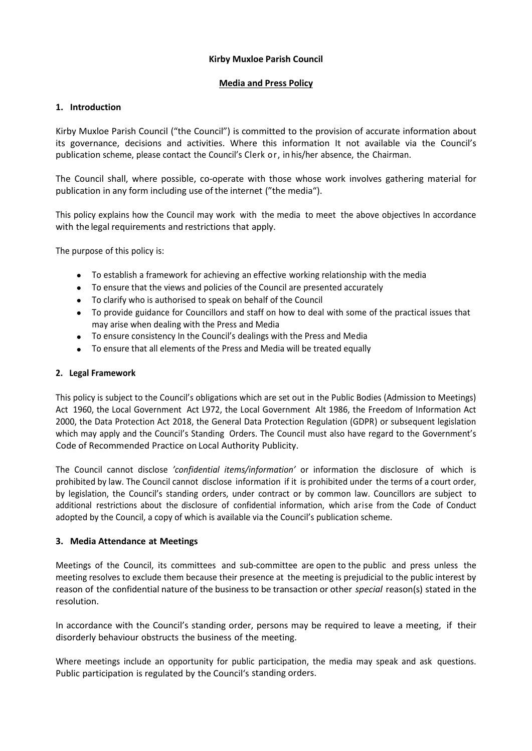#### **Kirby Muxloe Parish Council**

#### **Media and Press Policy**

### **1. Introduction**

Kirby Muxloe Parish Council ("the Council") is committed to the provision of accurate information about its governance, decisions and activities. Where this information It not available via the Council's publication scheme, please contact the Council's Clerk or, in his/her absence, the Chairman.

The Council shall, where possible, co-operate with those whose work involves gathering material for publication in any form including use of the internet ("the media").

This policy explains how the Council may work with the media to meet the above objectives In accordance with the legal requirements and restrictions that apply.

The purpose of this policy is:

- To establish a framework for achieving an effective working relationship with the media
- To ensure that the views and policies of the Council are presented accurately
- To clarify who is authorised to speak on behalf of the Council
- To provide guidance for Councillors and staff on how to deal with some of the practical issues that may arise when dealing with the Press and Media
- To ensure consistency In the Council's dealings with the Press and Media
- To ensure that all elements of the Press and Media will be treated equally

### **2. Legal Framework**

This policy is subject to the Council's obligations which are set out in the Public Bodies (Admission to Meetings) Act 1960, the Local Government Act L972, the Local Government Alt 1986, the Freedom of Information Act 2000, the Data Protection Act 2018, the General Data Protection Regulation (GDPR) or subsequent legislation which may apply and the Council's Standing Orders. The Council must also have regard to the Government's Code of Recommended Practice on Local Authority Publicity.

The Council cannot disclose *'confidential items/information'* or information the disclosure of which is prohibited by law. The Council cannot disclose information if it is prohibited under the terms of a court order, by legislation, the Council's standing orders, under contract or by common law. Councillors are subject to additional restrictions about the disclosure of confidential information, which arise from the Code of Conduct adopted by the Council, a copy of which is available via the Council's publication scheme.

#### **3. Media Attendance at Meetings**

Meetings of the Council, its committees and sub-committee are open to the public and press unless the meeting resolves to exclude them because their presence at the meeting is prejudicial to the public interest by reason of the confidential nature of the business to be transaction or other *special* reason(s) stated in the resolution.

In accordance with the Council's standing order, persons may be required to leave a meeting, if their disorderly behaviour obstructs the business of the meeting.

Where meetings include an opportunity for public participation, the media may speak and ask questions. Public participation is regulated by the Council's standing orders.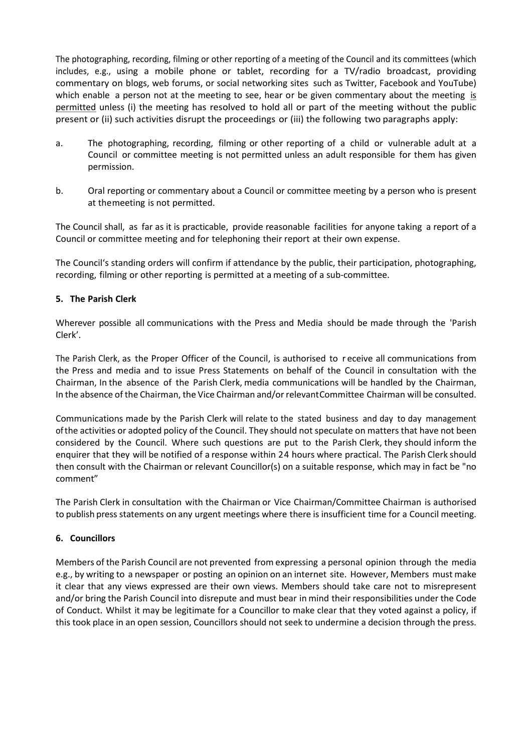The photographing, recording, filming or other reporting of a meeting of the Council and its committees (which includes, e.g., using a mobile phone or tablet, recording for a TV/radio broadcast, providing commentary on blogs, web forums, or social networking sites such as Twitter, Facebook and YouTube) which enable a person not at the meeting to see, hear or be given commentary about the meeting is permitted unless (i) the meeting has resolved to hold all or part of the meeting without the public present or (ii) such activities disrupt the proceedings or (iii) the following two paragraphs apply:

- a. The photographing, recording, filming or other reporting of a child or vulnerable adult at a Council or committee meeting is not permitted unless an adult responsible for them has given permission.
- b. Oral reporting or commentary about a Council or committee meeting by a person who is present at themeeting is not permitted.

The Council shall, as far as it is practicable, provide reasonable facilities for anyone taking a report of a Council or committee meeting and for telephoning their report at their own expense.

The Council's standing orders will confirm if attendance by the public, their participation, photographing, recording, filming or other reporting is permitted at a meeting of a sub-committee.

### **5. The Parish Clerk**

Wherever possible all communications with the Press and Media should be made through the 'Parish Clerk'.

The Parish Clerk, as the Proper Officer of the Council, is authorised to r eceive all communications from the Press and media and to issue Press Statements on behalf of the Council in consultation with the Chairman, In the absence of the Parish Clerk, media communications will be handled by the Chairman, In the absence of the Chairman, the Vice Chairman and/or relevantCommittee Chairman will be consulted.

Communications made by the Parish Clerk will relate to the stated business and day to day management ofthe activities or adopted policy of the Council. They should not speculate on matters that have not been considered by the Council. Where such questions are put to the Parish Clerk, they should inform the enquirer that they will be notified of a response within 24 hours where practical. The Parish Clerk should then consult with the Chairman or relevant Councillor(s) on a suitable response, which may in fact be "no comment"

The Parish Clerk in consultation with the Chairman or Vice Chairman/Committee Chairman is authorised to publish press statements on any urgent meetings where there is insufficient time for a Council meeting.

#### **6. Councillors**

Members of the Parish Council are not prevented from expressing a personal opinion through the media e.g., by writing to a newspaper or posting an opinion on an internet site. However, Members must make it clear that any views expressed are their own views. Members should take care not to misrepresent and/or bring the Parish Council into disrepute and must bear in mind their responsibilities under the Code of Conduct. Whilst it may be legitimate for a Councillor to make clear that they voted against a policy, if this took place in an open session, Councillors should not seek to undermine a decision through the press.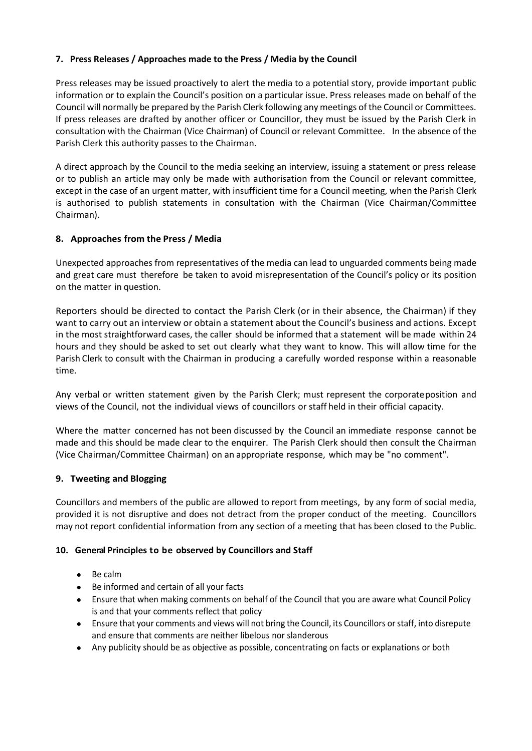## **7. Press Releases / Approaches made to the Press / Media by the Council**

Press releases may be issued proactively to alert the media to a potential story, provide important public information or to explain the Council's position on a particular issue. Press releases made on behalf of the Council will normally be prepared by the Parish Clerk following any meetings of the Council or Committees. If press releases are drafted by another officer or CounciIIor, they must be issued by the Parish Clerk in consultation with the Chairman (Vice Chairman) of Council or relevant Committee. In the absence of the Parish Clerk this authority passes to the Chairman.

A direct approach by the Council to the media seeking an interview, issuing a statement or press release or to publish an article may only be made with authorisation from the Council or relevant committee, except in the case of an urgent matter, with insufficient time for a Council meeting, when the Parish Clerk is authorised to publish statements in consultation with the Chairman (Vice Chairman/Committee Chairman).

# **8. Approaches from the Press / Media**

Unexpected approaches from representatives of the media can lead to unguarded comments being made and great care must therefore be taken to avoid misrepresentation of the Council's policy or its position on the matter in question.

Reporters should be directed to contact the Parish Clerk (or in their absence, the Chairman) if they want to carry out an interview or obtain a statement about the Council's business and actions. Except in the most straightforward cases, the caller should be informed that a statement will be made within 24 hours and they should be asked to set out clearly what they want to know. This will allow time for the Parish Clerk to consult with the Chairman in producing a carefully worded response within a reasonable time.

Any verbal or written statement given by the Parish Clerk; must represent the corporateposition and views of the Council, not the individual views of councillors or staff held in their official capacity.

Where the matter concerned has not been discussed by the Council an immediate response cannot be made and this should be made clear to the enquirer. The Parish Clerk should then consult the Chairman (Vice Chairman/Committee Chairman) on an appropriate response, which may be "no comment".

## **9. Tweeting and Blogging**

Councillors and members of the public are allowed to report from meetings, by any form of social media, provided it is not disruptive and does not detract from the proper conduct of the meeting. Councillors may not report confidential information from any section of a meeting that has been closed to the Public.

## **10. General Principles to be observed by Councillors and Staff**

- Be calm
- Be informed and certain of all your facts
- Ensure that when making comments on behalf of the Council that you are aware what Council Policy is and that your comments reflect that policy
- Ensure that your comments and views will not bring the Council, its Councillors or staff, into disrepute and ensure that comments are neither libelous nor slanderous
- Any publicity should be as objective as possible, concentrating on facts or explanations or both